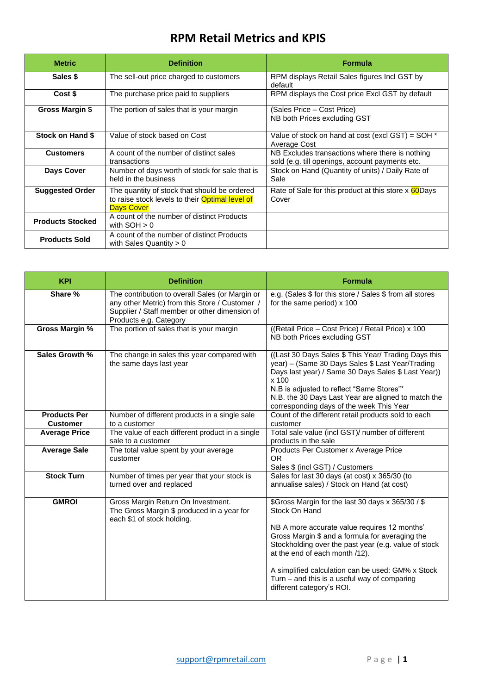## **RPM Retail Metrics and KPIS**

| <b>Metric</b>           | <b>Definition</b>                                                                                                           | <b>Formula</b>                                                                                     |
|-------------------------|-----------------------------------------------------------------------------------------------------------------------------|----------------------------------------------------------------------------------------------------|
| Sales \$                | The sell-out price charged to customers                                                                                     | RPM displays Retail Sales figures Incl GST by<br>default                                           |
| Cost \$                 | The purchase price paid to suppliers                                                                                        | RPM displays the Cost price Excl GST by default                                                    |
| Gross Margin \$         | The portion of sales that is your margin                                                                                    | (Sales Price – Cost Price)<br>NB both Prices excluding GST                                         |
| Stock on Hand \$        | Value of stock based on Cost                                                                                                | Value of stock on hand at cost (excl GST) = $SOH^*$<br>Average Cost                                |
| <b>Customers</b>        | A count of the number of distinct sales<br>transactions                                                                     | NB Excludes transactions where there is nothing<br>sold (e.g. till openings, account payments etc. |
| Days Cover              | Number of days worth of stock for sale that is<br>held in the business                                                      | Stock on Hand (Quantity of units) / Daily Rate of<br>Sale                                          |
| <b>Suggested Order</b>  | The quantity of stock that should be ordered<br>to raise stock levels to their <b>Optimal level of</b><br><b>Days Cover</b> | Rate of Sale for this product at this store x 60 Days<br>Cover                                     |
| <b>Products Stocked</b> | A count of the number of distinct Products<br>with $SOH > 0$                                                                |                                                                                                    |
| <b>Products Sold</b>    | A count of the number of distinct Products<br>with Sales Quantity $> 0$                                                     |                                                                                                    |

| <b>KPI</b>                             | <b>Definition</b>                                                                                                                                                            | <b>Formula</b>                                                                                                                                                                                                                                                                                                                                                                                      |
|----------------------------------------|------------------------------------------------------------------------------------------------------------------------------------------------------------------------------|-----------------------------------------------------------------------------------------------------------------------------------------------------------------------------------------------------------------------------------------------------------------------------------------------------------------------------------------------------------------------------------------------------|
| Share %                                | The contribution to overall Sales (or Margin or<br>any other Metric) from this Store / Customer /<br>Supplier / Staff member or other dimension of<br>Products e.g. Category | e.g. (Sales \$ for this store / Sales \$ from all stores<br>for the same period) x 100                                                                                                                                                                                                                                                                                                              |
| <b>Gross Margin %</b>                  | The portion of sales that is your margin                                                                                                                                     | ((Retail Price - Cost Price) / Retail Price) x 100<br>NB both Prices excluding GST                                                                                                                                                                                                                                                                                                                  |
| Sales Growth %                         | The change in sales this year compared with<br>the same days last year                                                                                                       | ((Last 30 Days Sales \$ This Year/ Trading Days this<br>year) - (Same 30 Days Sales \$ Last Year/Trading<br>Days last year) / Same 30 Days Sales \$ Last Year))<br>x 100<br>N.B is adjusted to reflect "Same Stores"*<br>N.B. the 30 Days Last Year are aligned to match the<br>corresponding days of the week This Year                                                                            |
| <b>Products Per</b><br><b>Customer</b> | Number of different products in a single sale<br>to a customer                                                                                                               | Count of the different retail products sold to each<br>customer                                                                                                                                                                                                                                                                                                                                     |
| <b>Average Price</b>                   | The value of each different product in a single<br>sale to a customer                                                                                                        | Total sale value (incl GST)/ number of different<br>products in the sale                                                                                                                                                                                                                                                                                                                            |
| <b>Average Sale</b>                    | The total value spent by your average<br>customer                                                                                                                            | Products Per Customer x Average Price<br>OR.<br>Sales \$ (incl GST) / Customers                                                                                                                                                                                                                                                                                                                     |
| <b>Stock Turn</b>                      | Number of times per year that your stock is<br>turned over and replaced                                                                                                      | Sales for last 30 days (at cost) x 365/30 (to<br>annualise sales) / Stock on Hand (at cost)                                                                                                                                                                                                                                                                                                         |
| <b>GMROI</b>                           | Gross Margin Return On Investment.<br>The Gross Margin \$ produced in a year for<br>each \$1 of stock holding.                                                               | \$Gross Margin for the last 30 days x 365/30 / \$<br>Stock On Hand<br>NB A more accurate value requires 12 months'<br>Gross Margin \$ and a formula for averaging the<br>Stockholding over the past year (e.g. value of stock<br>at the end of each month /12).<br>A simplified calculation can be used: GM% x Stock<br>Turn $-$ and this is a useful way of comparing<br>different category's ROI. |